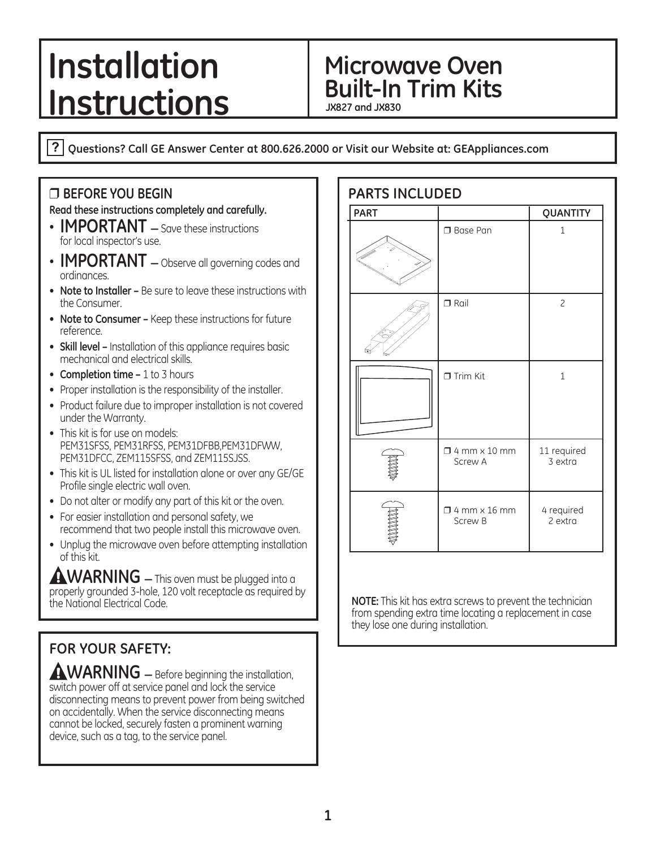# **Installation** Microwave Oven **Instructions**

**JX827 and JX830**

**Questions? Call GE Answer Center at 800.626.2000 or Visit our Website at: GEAppliances.com**

#### ❒ **BEFORE YOU BEGIN**

**Read these instructions completely and carefully.**

- **IMPORTANT** Save these instructions for local inspector's use.
- **IMPORTANT** Observe all governing codes and ordinances.
- **Note to Installer** Be sure to leave these instructions with the Consumer.
- **Note to Consumer** Keep these instructions for future reference.
- **Skill level** Installation of this appliance requires basic mechanical and electrical skills.
- **Completion time 1 to 3 hours**
- Proper installation is the responsibility of the installer.
- Product failure due to improper installation is not covered under the Warranty.
- This kit is for use on models: PEM31SFSS, PEM31RFSS, PEM31DFBB, PEM31DFWW, PEM31DFCC, ZEM115SFSS, and ZEM115SJSS.
- This kit is UL listed for installation alone or over any GE/GE Profile single electric wall oven.
- . Do not alter or modify any part of this kit or the oven.
- For easier installation and personal safety, we recommend that two people install this microwave oven.
- Unplug the microwave oven before attempting installation of this kit.

**AWARNING** – This oven must be plugged into a  $\overline{\text{proper}}$  grounded 3-hole, 120 volt receptacle as required by the National Electrical Code.

# **FOR YOUR SAFETY:**

**AWARNING** – Before beginning the installation, switch power off at service panel and lock the service disconnecting means to prevent power from being switched on accidentally. When the service disconnecting means cannot be locked, securely fasten a prominent warning device, such as a tag, to the service panel.

| <b>PARTS INCLUDED</b> |                                       |                         |  |  |
|-----------------------|---------------------------------------|-------------------------|--|--|
| <b>PART</b>           |                                       | QUANTITY                |  |  |
|                       | □ Base Pan                            | $\mathbf{1}$            |  |  |
|                       | $\Box$ Rail                           | $\overline{c}$          |  |  |
|                       | $\Box$ Trim Kit                       | $\mathbf{1}$            |  |  |
|                       | $\Box$ 4 mm $\times$ 10 mm<br>Screw A | 11 required<br>3 extra  |  |  |
|                       | $\Box$ 4 mm $\times$ 16 mm<br>Screw B | 4 required<br>$2$ extra |  |  |

**NOTE:** This kit has extra screws to prevent the technician from spending extra time locating a replacement in case they lose one during installation.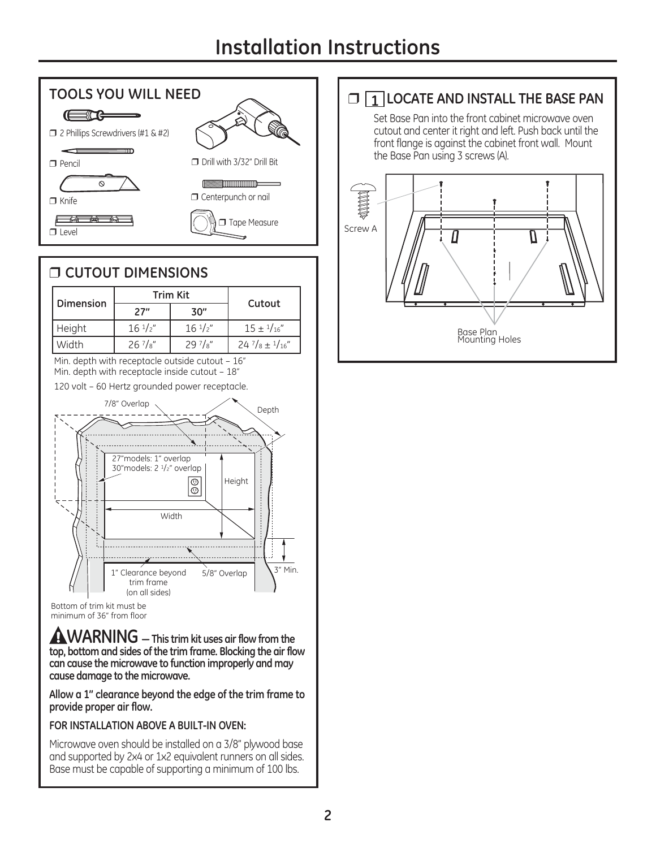# **Installation Instructions**



#### ❒ **CUTOUT DIMENSIONS Trim Kit Dimension Cutout 27" 30"** Height  $\begin{array}{|c|c|c|c|c|c|c|c|} \hline \end{array}$  + 16  $\frac{1}{2}$ "  $\begin{array}{|c|c|c|c|c|c|} \hline \end{array}$  + 15  $\pm$   $\frac{1}{16}$ " Width  $26\frac{7}{8}$   $29\frac{7}{8}$   $24\frac{7}{8}$   $116$ Min. depth with receptacle outside cutout  $-16$ Min. depth with receptacle inside cutout -  $18"$ 120 volt - 60 Hertz grounded power receptacle. 7/8" Overlap Depth 27"models: 1" overlap 30" models: 2 <sup>1</sup>/2" overlap  $\boxed{\odot}$ Height Width 3" Min. 1" Clearance beyond 5/8" Overlap trim frame Con all sides) Bottom of trim kit must be

**WARNING <sup>³</sup> This trim kit uses air flow from the top, bottom and sides of the trim frame. Blocking the air flow can cause the microwave to function improperly and may cause damage to the microwave.**

**Allow a 1" clearance beyond the edge of the trim frame to provide proper air flow.**

#### **FOR INSTALLATION ABOVE A BUILT-IN OVEN:**

Microwave oven should be installed on a 3/8" plywood base and supported by 2x4 or 1x2 equivalent runners on all sides. Base must be capable of supporting a minimum of 100 lbs.

# ❒ **1 LOCATE AND INSTALL THE BASE PAN**

Set Base Pan into the front cabinet microwave oven cutout and center it right and left. Push back until the front flange is against the cabinet front wall. Mount the Base Pan using 3 screws (A).



minimum of 36" from floor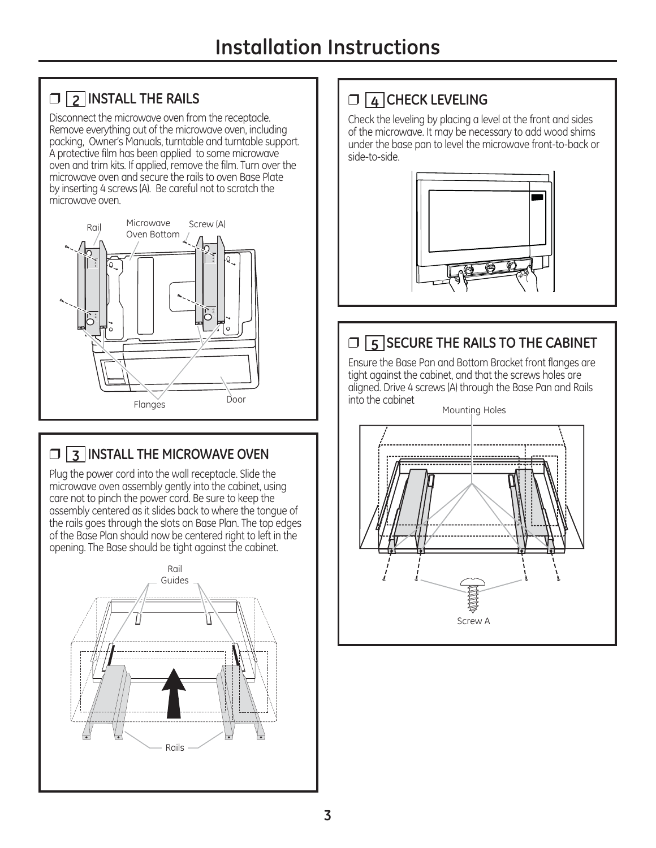# ❒ **2 INSTALL THE RAILS**

Disconnect the microwave oven from the receptacle. Remove everything out of the microwave oven, including packing, Owner's Manuals, turntable and turntable support. A protective film has been applied to some microwave oven and trim kits. If applied, remove the film. Turn over the microwave oven and secure the rails to oven Base Plate by inserting 4 screws (A). Be careful not to scratch the microwave oven.



# ❒ **3 INSTALL THE MICROWAVE OVEN**

Plug the power cord into the wall receptacle. Slide the microwave oven assembly gently into the cabinet, using care not to pinch the power cord. Be sure to keep the assembly centered as it slides back to where the tonque of the rails goes through the slots on Base Plan. The top edges of the Base Plan should now be centered right to left in the opening. The Base should be tight against the cabinet.



# ❒ **4 CHECK LEVELING**

Check the leveling by placing a level at the front and sides of the microwave. It may be necessary to add wood shims under the base pan to level the microwave front-to-back or side-to-side.



# ❒ **5 SECURE THE RAILS TO THE CABINET**

Ensure the Base Pan and Bottom Bracket front flanges are tight against the cabinet, and that the screws holes are aligned. Drive 4 screws (A) through the Base Pan and Rails into the cabinet

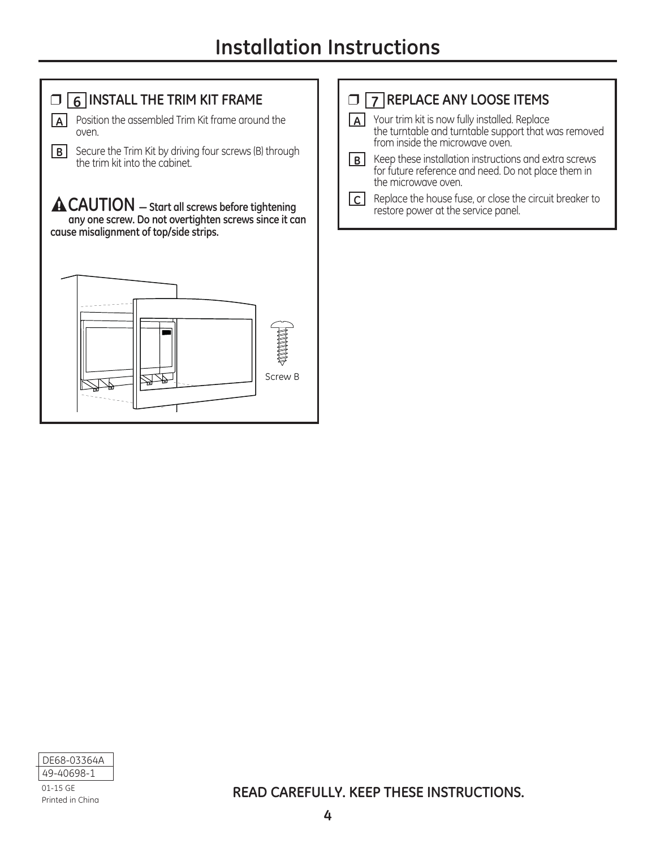

**READ CAREFULLY. KEEP THESE INSTRUCTIONS.**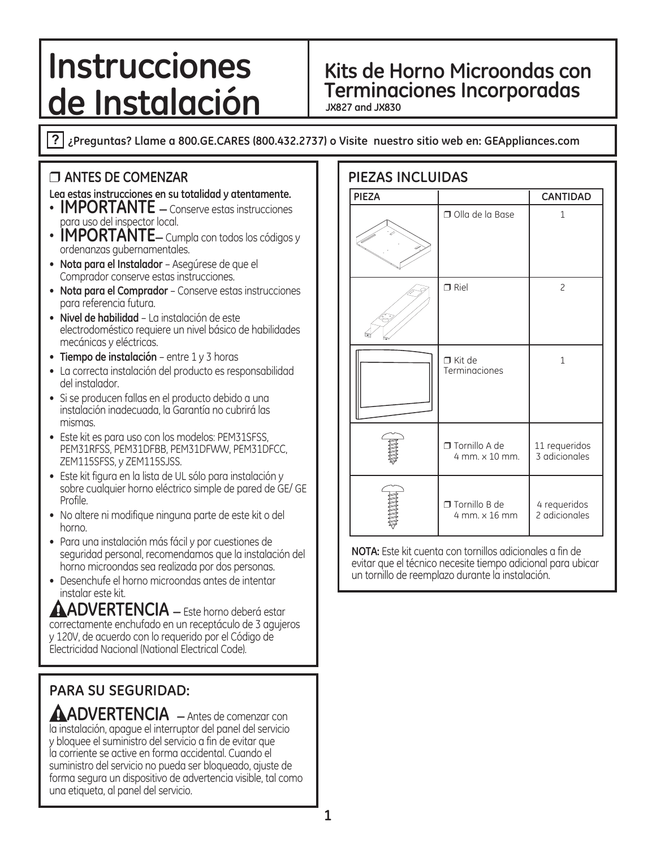# **de Instalación**

# **Instrucciones** Kits de Horno Microondas con

**JX827 and JX830**

**¿Preguntas? Llame a 800.GE.CARES (800.432.2737) o Visite nuestro sitio web en: GEAppliances.com**

#### ❒ **ANTES DE COMENZAR**

#### **Lea estas instrucciones en su totalidad y atentamente.**

- **· IMPORTANTE** *A* Conserve estas instrucciones para uso del inspector local.
- **IMPORTANTE** Cumpla con todos los códigos y ordenanzas gubernamentales.
- **Nota para el Instalador**  Asegúrese de que el Comprador conserve estas instrucciones.
- **Nota para el Comprador**  Conserve estas instrucciones para referencia futura.
- **Nivel de habilidad**  La instalación de este electrodoméstico requiere un nivel básico de habilidades mecánicas y eléctricas.
- **Tiempo de instalación**  entre 1 y 3 horas
- La correcta instalación del producto es responsabilidad del instalador.
- Si se producen fallas en el producto debido a una instalación inadecuada, la Garantía no cubrirá las mismas.
- Este kit es para uso con los modelos: PEM31SFSS, PEM31RFSS, PEM31DFBB, PEM31DFWW, PEM31DFCC, ZEM115SFSS, y ZEM115SJSS.
- Este kit figura en la lista de UL sólo para instalación y sobre cualquier horno eléctrico simple de pared de GE/GE Profile.
- No altere ni modifique ninguna parte de este kit o del horno.
- Para una instalación más fácil y por cuestiones de seguridad personal, recomendamos que la instalación del horno microondas sea realizada por dos personas.
- Desenchufe el horno microondas antes de intentar instalar este kit.

**AADVERTENCIA** – Este horno deberá estar correctamente enchufado en un receptáculo de 3 agujeros y 120V, de acuerdo con lo requerido por el Código de Electricidad Nacional (National Electrical Code).

# **PARA SU SEGURIDAD:**

**AADVERTENCIA**  $-$  Antes de comenzar con la instalación, apague el interruptor del panel del servicio y bloquee el suministro del servicio a fin de evitar que la corriente se active en forma accidental. Cuando el suministro del servicio no pueda ser bloqueado, ajuste de forma segura un dispositivo de advertencia visible, tal como una etiqueta, al panel del servicio.

| PIEZAS INCLUIDAS |  |
|------------------|--|
|------------------|--|

| <b>PIEZA</b> |                                       | <b>CANTIDAD</b>                |
|--------------|---------------------------------------|--------------------------------|
|              | Olla de la Base                       | $\mathbf{1}$                   |
|              | $\Box$ Riel                           | $\overline{c}$                 |
|              | $\Box$ Kit de<br>Terminaciones        | 1                              |
|              | □ Tornillo A de<br>4 mm. x 10 mm.     | 11 requeridos<br>3 adicionales |
|              | $\Box$ Tornillo B de<br>4 mm. x 16 mm | 4 requeridos<br>2 adicionales  |

**NOTA:** Este kit cuenta con tornillos adicionales a fin de evitar que el técnico necesite tiempo adicional para ubicar un tornillo de reemplazo durante la instalación.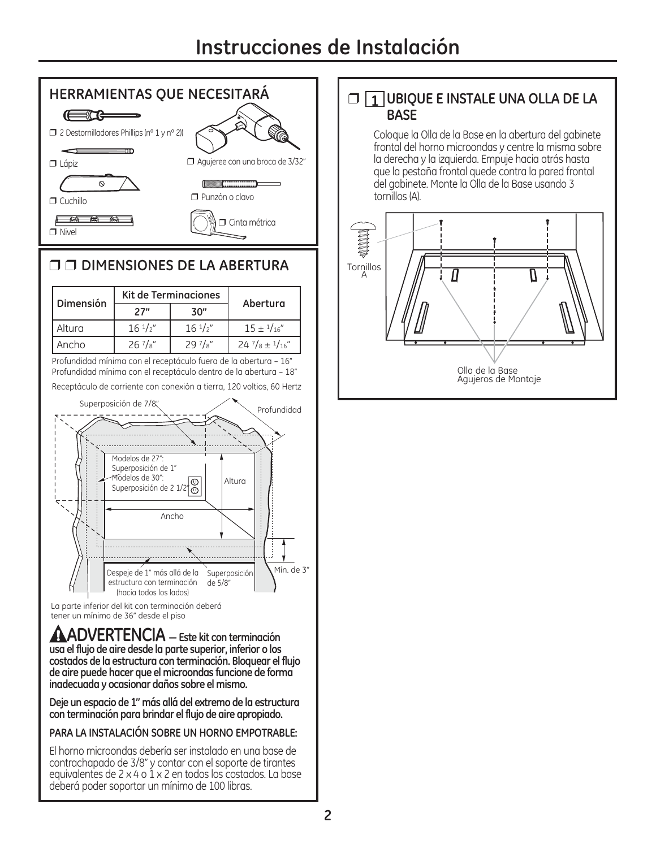# **Instrucciones de Instalación**



#### ❒ ❒ **DIMENSIONES DE LA ABERTURA**

| Dimensión | <b>Kit de Terminaciones</b> |                   | Abertura                           |  |
|-----------|-----------------------------|-------------------|------------------------------------|--|
|           | 27"                         | 30"               |                                    |  |
| Altura    | $16 \frac{1}{2}$            | $16 \frac{1}{2}$  | $15 \pm 1/16''$                    |  |
| Ancho     | $26\frac{7}{8}$             | 29 $7\frac{1}{8}$ | $24\frac{7}{8} \pm \frac{1}{16}$ " |  |

Profundidad mínima con el receptáculo fuera de la abertura - 16" Profundidad mínima con el receptáculo dentro de la abertura - 18"

Receptáculo de corriente con conexión a tierra, 120 voltios, 60 Hertz



La parte inferior del kit con terminación deberá tener un mínimo de 36" desde el piso

**ADVERTENCIA <sup>³</sup> Este kit con terminación usa el flujo de aire desde la parte superior, inferior o los costados de la estructura con terminación. Bloquear el flujo de aire puede hacer que el microondas funcione de forma inadecuada y ocasionar daños sobre el mismo.** 

**Deje un espacio de 1" más allá del extremo de la estructura con terminación para brindar el flujo de aire apropiado.**

#### **PARA LA INSTALACIÓN SOBRE UN HORNO EMPOTRABLE:**

El horno microondas debería ser instalado en una base de contrachapado de 3/8" y contar con el soporte de tirantes equivalentes de  $2 \times 4$  o  $1 \times 2$  en todos los costados. La base deberá poder soportar un mínimo de 100 libras.

#### ❒ **1 UBIQUE E INSTALE UNA OLLA DE LA BASE**

Coloque la Olla de la Base en la abertura del gabinete frontal del horno microondas y centre la misma sobre la derecha y la izquierda. Empuje hacia atrás hasta que la pestaña frontal quede contra la pared frontal del gabinete. Monte la Olla de la Base usando 3 tornillos (A).

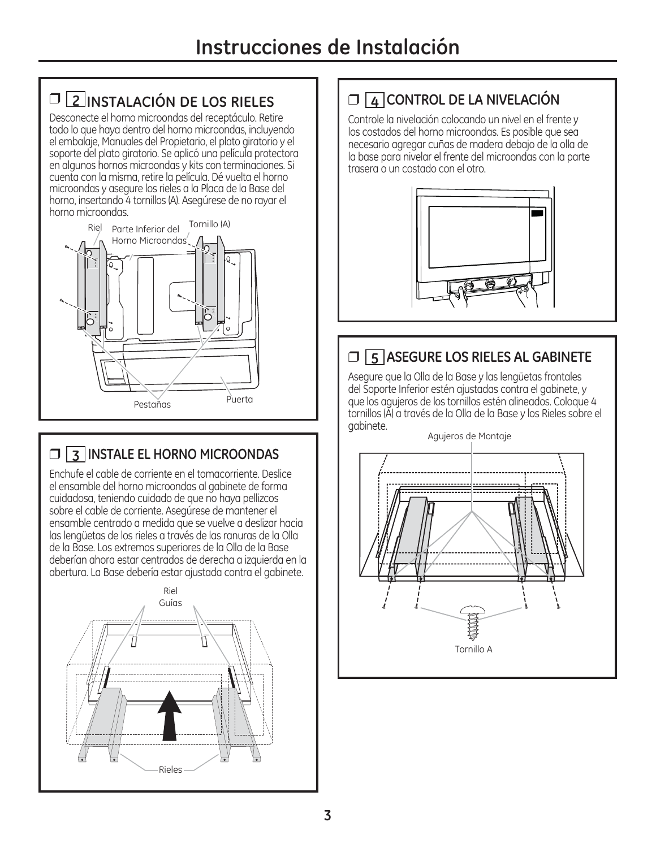# ❒ **2 INSTALACIÓN DE LOS RIELES**

Desconecte el horno microondas del receptáculo. Retire todo lo que haya dentro del horno microondas, incluyendo el embalaie, Manuales del Propietario, el plato giratorio y el soporte del plato giratorio. Se aplicó una película protectora en algunos hornos microondas y kits con terminaciones. Si cuenta con la misma, retire la película. Dé vuelta el horno microondas y asegure los rieles a la Placa de la Base del horno, insertando 4 tornillos (A). Asegúrese de no rayar el horno microondas.



# ❒ **3 INSTALE EL HORNO MICROONDAS**

Enchufe el cable de corriente en el tomacorriente. Deslice el ensamble del horno microondas al gabinete de forma cuidadosa, teniendo cuidado de que no haya pellizcos sobre el cable de corriente. Asegúrese de mantener el ensamble centrado a medida que se vuelve a deslizar hacia las lengüetas de los rieles a través de las ranuras de la Olla de la Base. Los extremos superiores de la Olla de la Base deberían ahora estar centrados de derecha a izquierda en la dbertura. La Base debería estar ajustada contra el gabinete.



# ❒ **4 CONTROL DE LA NIVELACIÓN**

Controle la nivelación colocando un nivel en el frente y los costados del horno microondas. Es posible que sea necesario agregar cuñas de madera debajo de la olla de la base para nivelar el frente del microondas con la parte trasera o un costado con el otro.



### ❒ **5 ASEGURE LOS RIELES AL GABINETE**

Asegure que la Olla de la Base y las lengüetas frontales del Soporte Inferior estén ajustadas contra el gabinete, y que los agujeros de los tornillos estén alineados. Coloque 4 tornillos (A) a través de la Olla de la Base y los Rieles sobre el gabinete.



**3**